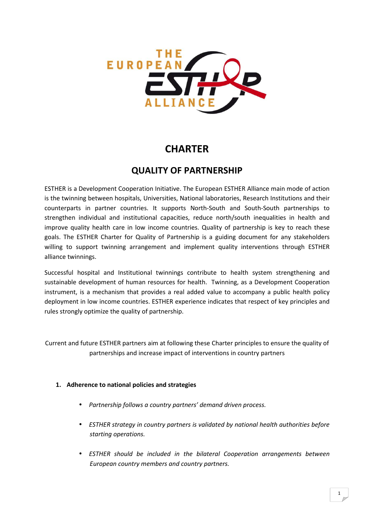

# **CHARTER**

# **QUALITY OF PARTNERSHIP**

ESTHER is a Development Cooperation Initiative. The European ESTHER Alliance main mode of action is the twinning between hospitals, Universities, National laboratories, Research Institutions and their counterparts in partner countries. It supports North-South and South-South partnerships to strengthen individual and institutional capacities, reduce north/south inequalities in health and improve quality health care in low income countries. Quality of partnership is key to reach these goals. The ESTHER Charter for Quality of Partnership is a guiding document for any stakeholders willing to support twinning arrangement and implement quality interventions through ESTHER alliance twinnings.

Successful hospital and Institutional twinnings contribute to health system strengthening and sustainable development of human resources for health. Twinning, as a Development Cooperation instrument, is a mechanism that provides a real added value to accompany a public health policy deployment in low income countries. ESTHER experience indicates that respect of key principles and rules strongly optimize the quality of partnership.

Current and future ESTHER partners aim at following these Charter principles to ensure the quality of partnerships and increase impact of interventions in country partners

### **1. Adherence to national policies and strategies**

- *Partnership follows a country partners' demand driven process.*
- *ESTHER strategy in country partners is validated by national health authorities before starting operations.*
- *ESTHER should be included in the bilateral Cooperation arrangements between European country members and country partners.*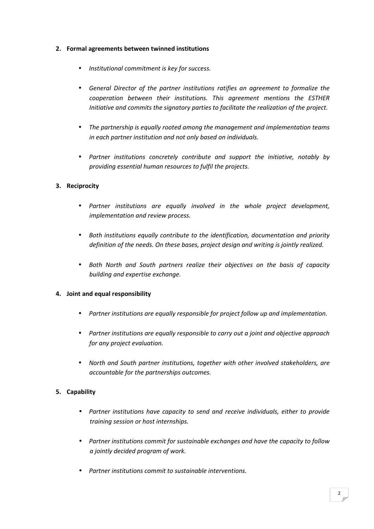### **2. Formal agreements between twinned institutions**

- *Institutional commitment is key for success.*
- *General Director of the partner institutions ratifies an agreement to formalize the cooperation between their institutions. This agreement mentions the ESTHER Initiative and commits the signatory parties to facilitate the realization of the project.*
- *The partnership is equally rooted among the management and implementation teams in each partner institution and not only based on individuals.*
- *Partner institutions concretely contribute and support the initiative, notably by providing essential human resources to fulfil the projects.*

# **3. Reciprocity**

- *Partner institutions are equally involved in the whole project development, implementation and review process.*
- *Both institutions equally contribute to the identification, documentation and priority definition of the needs. On these bases, project design and writing is jointly realized.*
- *Both North and South partners realize their objectives on the basis of capacity building and expertise exchange.*

### **4. Joint and equal responsibility**

- *Partner institutions are equally responsible for project follow up and implementation.*
- *Partner institutions are equally responsible to carry out a joint and objective approach for any project evaluation.*
- *North and South partner institutions, together with other involved stakeholders, are accountable for the partnerships outcomes.*

# **5. Capability**

- *Partner institutions have capacity to send and receive individuals, either to provide training session or host internships.*
- *Partner institutions commit for sustainable exchanges and have the capacity to follow a jointly decided program of work.*
- *Partner institutions commit to sustainable interventions.*